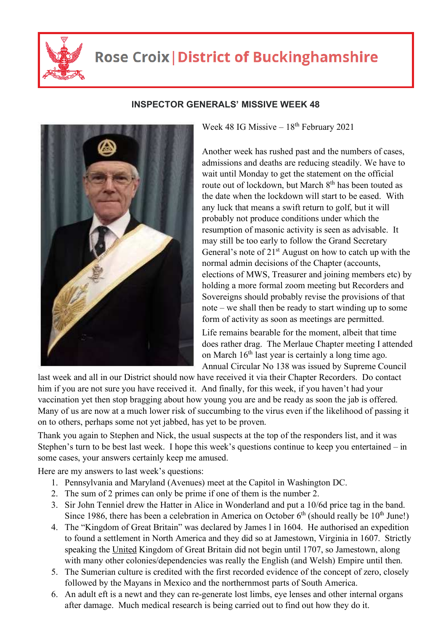

## **Rose Croix | District of Buckinghamshire**



## **INSPECTOR GENERALS' MISSIVE WEEK 48**

Week 48 IG Missive  $-18^{th}$  February 2021

Another week has rushed past and the numbers of cases, admissions and deaths are reducing steadily. We have to wait until Monday to get the statement on the official route out of lockdown, but March 8<sup>th</sup> has been touted as the date when the lockdown will start to be eased. With any luck that means a swift return to golf, but it will probably not produce conditions under which the resumption of masonic activity is seen as advisable. It may still be too early to follow the Grand Secretary General's note of  $21<sup>st</sup>$  August on how to catch up with the normal admin decisions of the Chapter (accounts, elections of MWS, Treasurer and joining members etc) by holding a more formal zoom meeting but Recorders and Sovereigns should probably revise the provisions of that note – we shall then be ready to start winding up to some form of activity as soon as meetings are permitted.

Life remains bearable for the moment, albeit that time does rather drag. The Merlaue Chapter meeting I attended on March  $16<sup>th</sup>$  last year is certainly a long time ago. Annual Circular No 138 was issued by Supreme Council

last week and all in our District should now have received it via their Chapter Recorders. Do contact him if you are not sure you have received it. And finally, for this week, if you haven't had your vaccination yet then stop bragging about how young you are and be ready as soon the jab is offered. Many of us are now at a much lower risk of succumbing to the virus even if the likelihood of passing it on to others, perhaps some not yet jabbed, has yet to be proven.

Thank you again to Stephen and Nick, the usual suspects at the top of the responders list, and it was Stephen's turn to be best last week. I hope this week's questions continue to keep you entertained – in some cases, your answers certainly keep me amused.

Here are my answers to last week's questions:

- 1. Pennsylvania and Maryland (Avenues) meet at the Capitol in Washington DC.
- 2. The sum of 2 primes can only be prime if one of them is the number 2.
- 3. Sir John Tenniel drew the Hatter in Alice in Wonderland and put a 10/6d price tag in the band. Since 1986, there has been a celebration in America on October  $6<sup>th</sup>$  (should really be 10<sup>th</sup> June!)
- 4. The "Kingdom of Great Britain" was declared by James l in 1604. He authorised an expedition to found a settlement in North America and they did so at Jamestown, Virginia in 1607. Strictly speaking the United Kingdom of Great Britain did not begin until 1707, so Jamestown, along with many other colonies/dependencies was really the English (and Welsh) Empire until then.
- 5. The Sumerian culture is credited with the first recorded evidence of the concept of zero, closely followed by the Mayans in Mexico and the northernmost parts of South America.
- 6. An adult eft is a newt and they can re-generate lost limbs, eye lenses and other internal organs after damage. Much medical research is being carried out to find out how they do it.